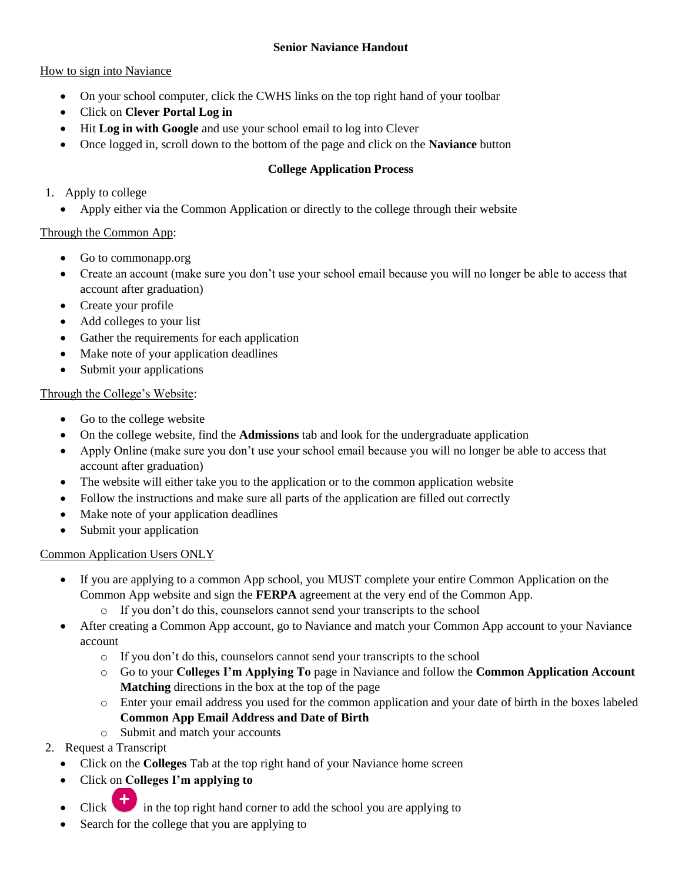### **Senior Naviance Handout**

### How to sign into Naviance

- On your school computer, click the CWHS links on the top right hand of your toolbar
- Click on **Clever Portal Log in**
- Hit **Log in with Google** and use your school email to log into Clever
- Once logged in, scroll down to the bottom of the page and click on the **Naviance** button

# **College Application Process**

- 1. Apply to college
	- Apply either via the Common Application or directly to the college through their website

# Through the Common App:

- Go to commonapp.org
- Create an account (make sure you don't use your school email because you will no longer be able to access that account after graduation)
- Create your profile
- Add colleges to your list
- Gather the requirements for each application
- Make note of your application deadlines
- Submit your applications

# Through the College's Website:

- Go to the college website
- On the college website, find the **Admissions** tab and look for the undergraduate application
- Apply Online (make sure you don't use your school email because you will no longer be able to access that account after graduation)
- The website will either take you to the application or to the common application website
- Follow the instructions and make sure all parts of the application are filled out correctly
- Make note of your application deadlines
- Submit your application

# Common Application Users ONLY

- If you are applying to a common App school, you MUST complete your entire Common Application on the Common App website and sign the **FERPA** agreement at the very end of the Common App.
	- o If you don't do this, counselors cannot send your transcripts to the school
- After creating a Common App account, go to Naviance and match your Common App account to your Naviance account
	- o If you don't do this, counselors cannot send your transcripts to the school
	- o Go to your **Colleges I'm Applying To** page in Naviance and follow the **Common Application Account Matching** directions in the box at the top of the page
	- o Enter your email address you used for the common application and your date of birth in the boxes labeled **Common App Email Address and Date of Birth**
	- o Submit and match your accounts
- 2. Request a Transcript
	- Click on the **Colleges** Tab at the top right hand of your Naviance home screen
	- Click on **Colleges I'm applying to**
	- Click in the top right hand corner to add the school you are applying to
	- Search for the college that you are applying to